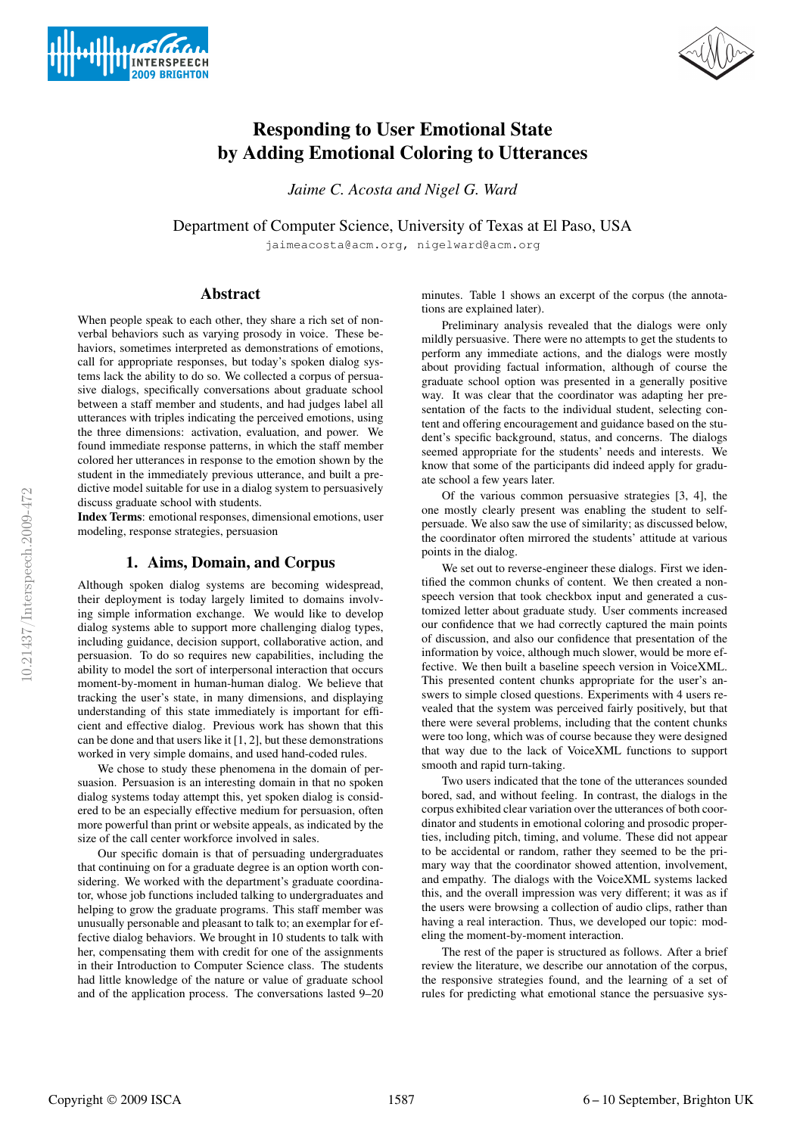



# Responding to User Emotional State by Adding Emotional Coloring to Utterances

*Jaime C. Acosta and Nigel G. Ward*

Department of Computer Science, University of Texas at El Paso, USA

jaimeacosta@acm.org, nigelward@acm.org

### Abstract

When people speak to each other, they share a rich set of nonverbal behaviors such as varying prosody in voice. These behaviors, sometimes interpreted as demonstrations of emotions, call for appropriate responses, but today's spoken dialog systems lack the ability to do so. We collected a corpus of persuasive dialogs, specifically conversations about graduate school between a staff member and students, and had judges label all utterances with triples indicating the perceived emotions, using the three dimensions: activation, evaluation, and power. We found immediate response patterns, in which the staff member colored her utterances in response to the emotion shown by the student in the immediately previous utterance, and built a predictive model suitable for use in a dialog system to persuasively discuss graduate school with students.

Index Terms: emotional responses, dimensional emotions, user modeling, response strategies, persuasion

#### 1. Aims, Domain, and Corpus

Although spoken dialog systems are becoming widespread, their deployment is today largely limited to domains involving simple information exchange. We would like to develop dialog systems able to support more challenging dialog types, including guidance, decision support, collaborative action, and persuasion. To do so requires new capabilities, including the ability to model the sort of interpersonal interaction that occurs moment-by-moment in human-human dialog. We believe that tracking the user's state, in many dimensions, and displaying understanding of this state immediately is important for efficient and effective dialog. Previous work has shown that this can be done and that users like it [1, 2], but these demonstrations worked in very simple domains, and used hand-coded rules.

We chose to study these phenomena in the domain of persuasion. Persuasion is an interesting domain in that no spoken dialog systems today attempt this, yet spoken dialog is considered to be an especially effective medium for persuasion, often more powerful than print or website appeals, as indicated by the size of the call center workforce involved in sales.

Our specific domain is that of persuading undergraduates that continuing on for a graduate degree is an option worth considering. We worked with the department's graduate coordinator, whose job functions included talking to undergraduates and helping to grow the graduate programs. This staff member was unusually personable and pleasant to talk to; an exemplar for effective dialog behaviors. We brought in 10 students to talk with her, compensating them with credit for one of the assignments in their Introduction to Computer Science class. The students had little knowledge of the nature or value of graduate school and of the application process. The conversations lasted 9–20

minutes. Table 1 shows an excerpt of the corpus (the annotations are explained later).

Preliminary analysis revealed that the dialogs were only mildly persuasive. There were no attempts to get the students to perform any immediate actions, and the dialogs were mostly about providing factual information, although of course the graduate school option was presented in a generally positive way. It was clear that the coordinator was adapting her presentation of the facts to the individual student, selecting content and offering encouragement and guidance based on the student's specific background, status, and concerns. The dialogs seemed appropriate for the students' needs and interests. We know that some of the participants did indeed apply for graduate school a few years later.

Of the various common persuasive strategies [3, 4], the one mostly clearly present was enabling the student to selfpersuade. We also saw the use of similarity; as discussed below, the coordinator often mirrored the students' attitude at various points in the dialog.

We set out to reverse-engineer these dialogs. First we identified the common chunks of content. We then created a nonspeech version that took checkbox input and generated a customized letter about graduate study. User comments increased our confidence that we had correctly captured the main points of discussion, and also our confidence that presentation of the information by voice, although much slower, would be more effective. We then built a baseline speech version in VoiceXML. This presented content chunks appropriate for the user's answers to simple closed questions. Experiments with 4 users revealed that the system was perceived fairly positively, but that there were several problems, including that the content chunks were too long, which was of course because they were designed that way due to the lack of VoiceXML functions to support smooth and rapid turn-taking.

Two users indicated that the tone of the utterances sounded bored, sad, and without feeling. In contrast, the dialogs in the corpus exhibited clear variation over the utterances of both coordinator and students in emotional coloring and prosodic properties, including pitch, timing, and volume. These did not appear to be accidental or random, rather they seemed to be the primary way that the coordinator showed attention, involvement, and empathy. The dialogs with the VoiceXML systems lacked this, and the overall impression was very different; it was as if the users were browsing a collection of audio clips, rather than having a real interaction. Thus, we developed our topic: modeling the moment-by-moment interaction.

The rest of the paper is structured as follows. After a brief review the literature, we describe our annotation of the corpus, the responsive strategies found, and the learning of a set of rules for predicting what emotional stance the persuasive sys-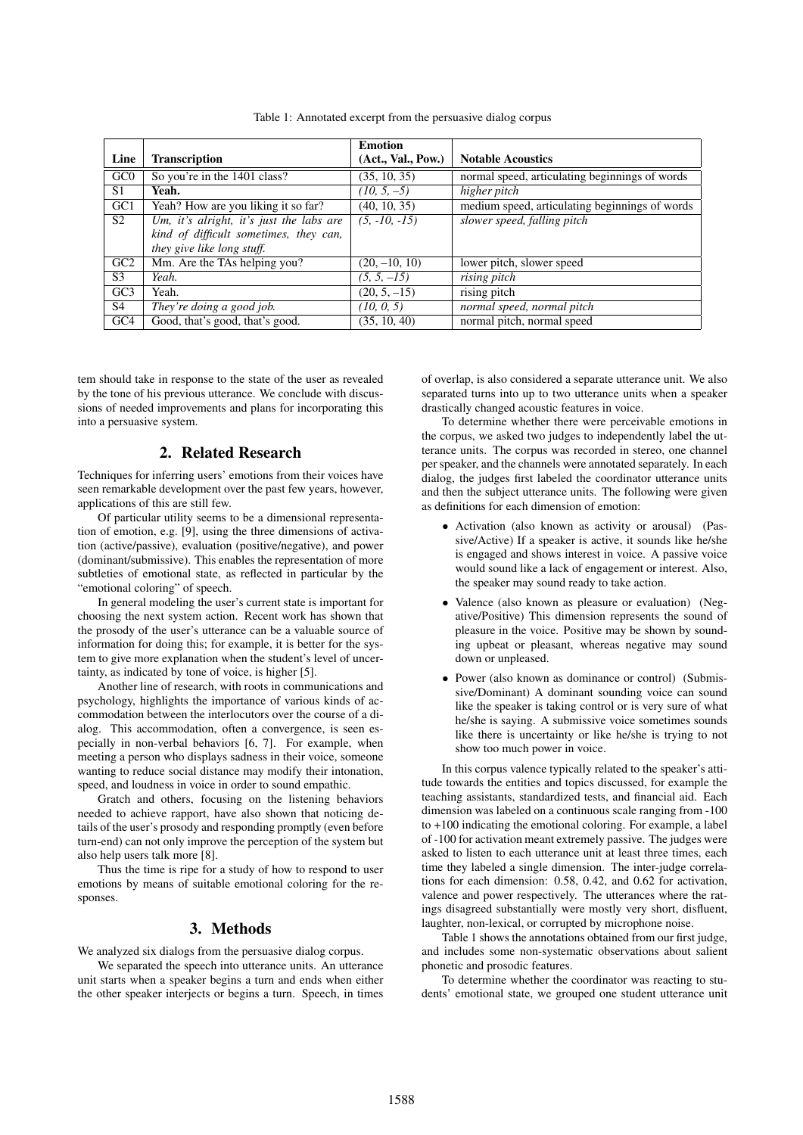|                 |                                          | <b>Emotion</b>     |                                                |
|-----------------|------------------------------------------|--------------------|------------------------------------------------|
| Line            | <b>Transcription</b>                     | (Act., Val., Pow.) | <b>Notable Acoustics</b>                       |
| G <sub>CO</sub> | So you're in the 1401 class?             | (35, 10, 35)       | normal speed, articulating beginnings of words |
| S <sub>1</sub>  | Yeah.                                    | $(10, 5, -5)$      | higher pitch                                   |
| GC <sub>1</sub> | Yeah? How are you liking it so far?      | (40, 10, 35)       | medium speed, articulating beginnings of words |
| S <sub>2</sub>  | Um, it's alright, it's just the labs are | $(5, -10, -15)$    | slower speed, falling pitch                    |
|                 | kind of difficult sometimes, they can,   |                    |                                                |
|                 | they give like long stuff.               |                    |                                                |
| GC2             | Mm. Are the TAs helping you?             | $(20, -10, 10)$    | lower pitch, slower speed                      |
| S3              | Yeah.                                    | $(5, 5, -15)$      | $\overline{rising}$ pitch                      |
| GC <sub>3</sub> | Yeah.                                    | $(20, 5, -15)$     | rising pitch                                   |
| S4              | They're doing a good job.                | (10, 0, 5)         | normal speed, normal pitch                     |
| GC <sub>4</sub> | Good, that's good, that's good.          | (35, 10, 40)       | normal pitch, normal speed                     |

Table 1: Annotated excerpt from the persuasive dialog corpus

tem should take in response to the state of the user as revealed by the tone of his previous utterance. We conclude with discussions of needed improvements and plans for incorporating this into a persuasive system.

## 2. Related Research

Techniques for inferring users' emotions from their voices have seen remarkable development over the past few years, however, applications of this are still few.

Of particular utility seems to be a dimensional representation of emotion, e.g. [9], using the three dimensions of activation (active/passive), evaluation (positive/negative), and power (dominant/submissive). This enables the representation of more subtleties of emotional state, as reflected in particular by the "emotional coloring" of speech.

In general modeling the user's current state is important for choosing the next system action. Recent work has shown that the prosody of the user's utterance can be a valuable source of information for doing this; for example, it is better for the system to give more explanation when the student's level of uncertainty, as indicated by tone of voice, is higher [5].

Another line of research, with roots in communications and psychology, highlights the importance of various kinds of accommodation between the interlocutors over the course of a dialog. This accommodation, often a convergence, is seen especially in non-verbal behaviors [6, 7]. For example, when meeting a person who displays sadness in their voice, someone wanting to reduce social distance may modify their intonation, speed, and loudness in voice in order to sound empathic.

Gratch and others, focusing on the listening behaviors needed to achieve rapport, have also shown that noticing details of the user's prosody and responding promptly (even before turn-end) can not only improve the perception of the system but also help users talk more [8].

Thus the time is ripe for a study of how to respond to user emotions by means of suitable emotional coloring for the responses.

#### 3. Methods

We analyzed six dialogs from the persuasive dialog corpus.

We separated the speech into utterance units. An utterance unit starts when a speaker begins a turn and ends when either the other speaker interjects or begins a turn. Speech, in times of overlap, is also considered a separate utterance unit. We also separated turns into up to two utterance units when a speaker drastically changed acoustic features in voice.

To determine whether there were perceivable emotions in the corpus, we asked two judges to independently label the utterance units. The corpus was recorded in stereo, one channel per speaker, and the channels were annotated separately. In each dialog, the judges first labeled the coordinator utterance units and then the subject utterance units. The following were given as definitions for each dimension of emotion:

- Activation (also known as activity or arousal) (Passive/Active) If a speaker is active, it sounds like he/she is engaged and shows interest in voice. A passive voice would sound like a lack of engagement or interest. Also, the speaker may sound ready to take action.
- Valence (also known as pleasure or evaluation) (Negative/Positive) This dimension represents the sound of pleasure in the voice. Positive may be shown by sounding upbeat or pleasant, whereas negative may sound down or unpleased.
- Power (also known as dominance or control) (Submissive/Dominant) A dominant sounding voice can sound like the speaker is taking control or is very sure of what he/she is saying. A submissive voice sometimes sounds like there is uncertainty or like he/she is trying to not show too much power in voice.

In this corpus valence typically related to the speaker's attitude towards the entities and topics discussed, for example the teaching assistants, standardized tests, and financial aid. Each dimension was labeled on a continuous scale ranging from -100 to +100 indicating the emotional coloring. For example, a label of -100 for activation meant extremely passive. The judges were asked to listen to each utterance unit at least three times, each time they labeled a single dimension. The inter-judge correlations for each dimension: 0.58, 0.42, and 0.62 for activation, valence and power respectively. The utterances where the ratings disagreed substantially were mostly very short, disfluent, laughter, non-lexical, or corrupted by microphone noise.

Table 1 shows the annotations obtained from our first judge, and includes some non-systematic observations about salient phonetic and prosodic features.

To determine whether the coordinator was reacting to students' emotional state, we grouped one student utterance unit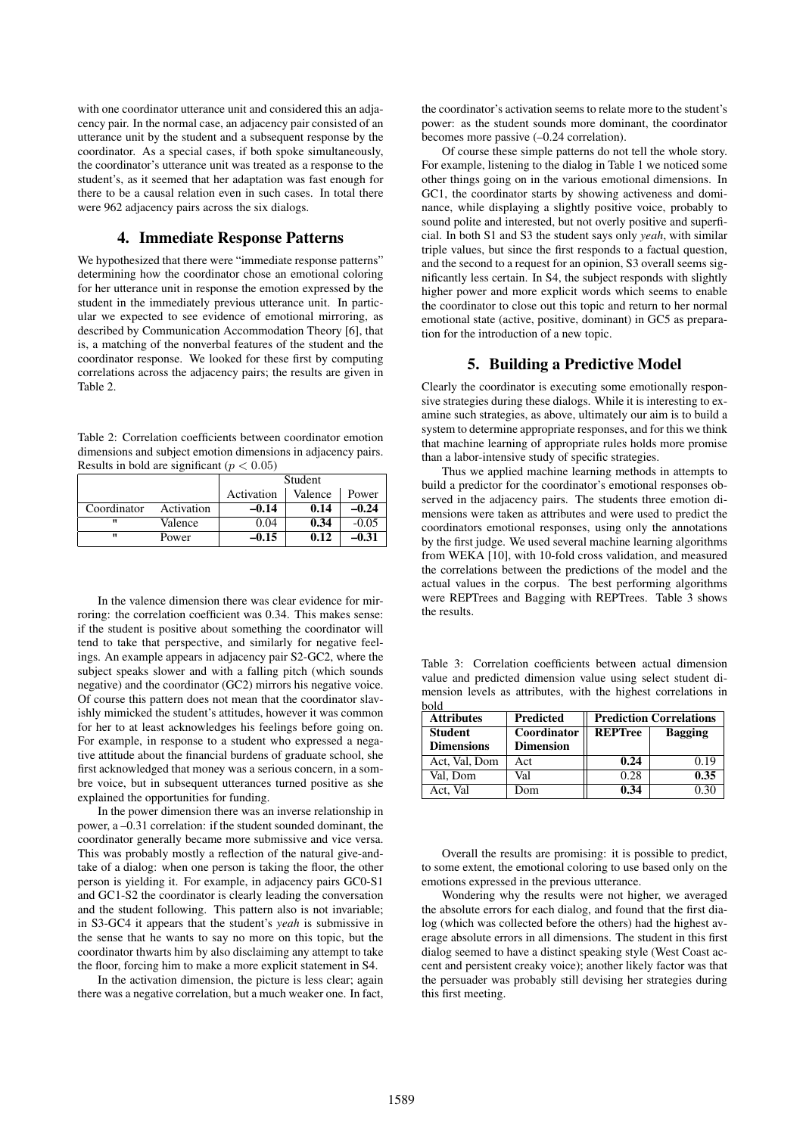with one coordinator utterance unit and considered this an adjacency pair. In the normal case, an adjacency pair consisted of an utterance unit by the student and a subsequent response by the coordinator. As a special cases, if both spoke simultaneously, the coordinator's utterance unit was treated as a response to the student's, as it seemed that her adaptation was fast enough for there to be a causal relation even in such cases. In total there were 962 adjacency pairs across the six dialogs.

## 4. Immediate Response Patterns

We hypothesized that there were "immediate response patterns" determining how the coordinator chose an emotional coloring for her utterance unit in response the emotion expressed by the student in the immediately previous utterance unit. In particular we expected to see evidence of emotional mirroring, as described by Communication Accommodation Theory [6], that is, a matching of the nonverbal features of the student and the coordinator response. We looked for these first by computing correlations across the adjacency pairs; the results are given in Table 2.

Table 2: Correlation coefficients between coordinator emotion dimensions and subject emotion dimensions in adjacency pairs. Results in bold are significant ( $p < 0.05$ )

|             |            | Student    |         |         |
|-------------|------------|------------|---------|---------|
|             |            | Activation | Valence | Power   |
| Coordinator | Activation | $-0.14$    | 0.14    | $-0.24$ |
| п           | Valence    | 0.04       | 0.34    | $-0.05$ |
| п           | Power      | -0.15      | 0.12    | $-0.31$ |

In the valence dimension there was clear evidence for mirroring: the correlation coefficient was 0.34. This makes sense: if the student is positive about something the coordinator will tend to take that perspective, and similarly for negative feelings. An example appears in adjacency pair S2-GC2, where the subject speaks slower and with a falling pitch (which sounds negative) and the coordinator (GC2) mirrors his negative voice. Of course this pattern does not mean that the coordinator slavishly mimicked the student's attitudes, however it was common for her to at least acknowledges his feelings before going on. For example, in response to a student who expressed a negative attitude about the financial burdens of graduate school, she first acknowledged that money was a serious concern, in a sombre voice, but in subsequent utterances turned positive as she explained the opportunities for funding.

In the power dimension there was an inverse relationship in power, a –0.31 correlation: if the student sounded dominant, the coordinator generally became more submissive and vice versa. This was probably mostly a reflection of the natural give-andtake of a dialog: when one person is taking the floor, the other person is yielding it. For example, in adjacency pairs GC0-S1 and GC1-S2 the coordinator is clearly leading the conversation and the student following. This pattern also is not invariable; in S3-GC4 it appears that the student's *yeah* is submissive in the sense that he wants to say no more on this topic, but the coordinator thwarts him by also disclaiming any attempt to take the floor, forcing him to make a more explicit statement in S4.

In the activation dimension, the picture is less clear; again there was a negative correlation, but a much weaker one. In fact, the coordinator's activation seems to relate more to the student's power: as the student sounds more dominant, the coordinator becomes more passive (–0.24 correlation).

Of course these simple patterns do not tell the whole story. For example, listening to the dialog in Table 1 we noticed some other things going on in the various emotional dimensions. In GC1, the coordinator starts by showing activeness and dominance, while displaying a slightly positive voice, probably to sound polite and interested, but not overly positive and superficial. In both S1 and S3 the student says only *yeah*, with similar triple values, but since the first responds to a factual question, and the second to a request for an opinion, S3 overall seems significantly less certain. In S4, the subject responds with slightly higher power and more explicit words which seems to enable the coordinator to close out this topic and return to her normal emotional state (active, positive, dominant) in GC5 as preparation for the introduction of a new topic.

#### 5. Building a Predictive Model

Clearly the coordinator is executing some emotionally responsive strategies during these dialogs. While it is interesting to examine such strategies, as above, ultimately our aim is to build a system to determine appropriate responses, and for this we think that machine learning of appropriate rules holds more promise than a labor-intensive study of specific strategies.

Thus we applied machine learning methods in attempts to build a predictor for the coordinator's emotional responses observed in the adjacency pairs. The students three emotion dimensions were taken as attributes and were used to predict the coordinators emotional responses, using only the annotations by the first judge. We used several machine learning algorithms from WEKA [10], with 10-fold cross validation, and measured the correlations between the predictions of the model and the actual values in the corpus. The best performing algorithms were REPTrees and Bagging with REPTrees. Table 3 shows the results.

Table 3: Correlation coefficients between actual dimension value and predicted dimension value using select student dimension levels as attributes, with the highest correlations in bold

| <b>Attributes</b> | <b>Predicted</b> | <b>Prediction Correlations</b>   |      |  |
|-------------------|------------------|----------------------------------|------|--|
| <b>Student</b>    | Coordinator      | <b>REPTree</b><br><b>Bagging</b> |      |  |
| <b>Dimensions</b> | <b>Dimension</b> |                                  |      |  |
| Act, Val, Dom     | Act              | 0.24                             | 0.19 |  |
| Val. Dom          | Val              | 0.28                             | 0.35 |  |
| Act. Val          | Dom              | 0.34                             | 0.30 |  |

Overall the results are promising: it is possible to predict, to some extent, the emotional coloring to use based only on the emotions expressed in the previous utterance.

Wondering why the results were not higher, we averaged the absolute errors for each dialog, and found that the first dialog (which was collected before the others) had the highest average absolute errors in all dimensions. The student in this first dialog seemed to have a distinct speaking style (West Coast accent and persistent creaky voice); another likely factor was that the persuader was probably still devising her strategies during this first meeting.